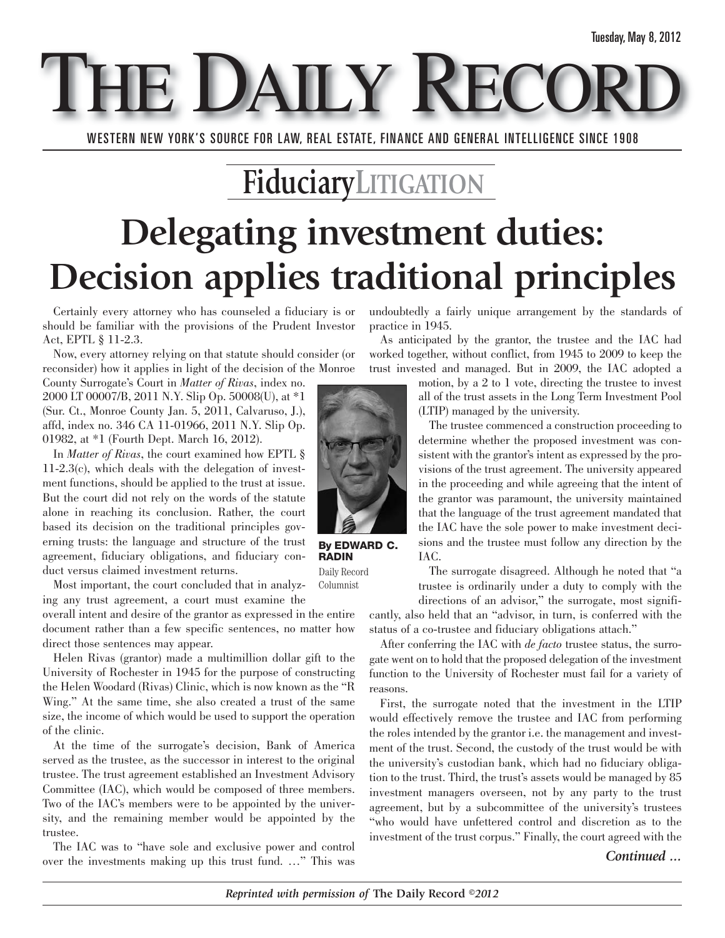**E DAILY REC** 

WESTERN NEW YORK'S SOURCE FOR LAW, REAL ESTATE, FINANCE AND GENERAL INTELLIGENCE SINCE 1908

### **FiduciaryLITIGATION**

## **Delegating investment duties: Decision applies traditional principles**

Certainly every attorney who has counseled a fiduciary is or should be familiar with the provisions of the Prudent Investor Act, EPTL § 11-2.3.

Now, every attorney relying on that statute should consider (or reconsider) how it applies in light of the decision of the Monroe

County Surrogate's Court in *Matter of Rivas*, index no. 2000 LT 00007/B, 2011 N.Y. Slip Op. 50008(U), at \*1 (Sur. Ct., Monroe County Jan. 5, 2011, Calvaruso, J.), affd, index no. 346 CA 11-01966, 2011 N.Y. Slip Op. 01982, at \*1 (Fourth Dept. March 16, 2012).

In *Matter of Rivas*, the court examined how EPTL § 11-2.3(c), which deals with the delegation of investment functions, should be applied to the trust at issue. But the court did not rely on the words of the statute alone in reaching its conclusion. Rather, the court based its decision on the traditional principles governing trusts: the language and structure of the trust agreement, fiduciary obligations, and fiduciary conduct versus claimed investment returns.

Most important, the court concluded that in analyzing any trust agreement, a court must examine the Columnist

overall intent and desire of the grantor as expressed in the entire document rather than a few specific sentences, no matter how direct those sentences may appear.

Helen Rivas (grantor) made a multimillion dollar gift to the University of Rochester in 1945 for the purpose of constructing the Helen Woodard (Rivas) Clinic, which is now known as the "R Wing." At the same time, she also created a trust of the same size, the income of which would be used to support the operation of the clinic.

At the time of the surrogate's decision, Bank of America served as the trustee, as the successor in interest to the original trustee. The trust agreement established an Investment Advisory Committee (IAC), which would be composed of three members. Two of the IAC's members were to be appointed by the university, and the remaining member would be appointed by the trustee.

The IAC was to "have sole and exclusive power and control over the investments making up this trust fund. …" This was undoubtedly a fairly unique arrangement by the standards of practice in 1945.

As anticipated by the grantor, the trustee and the IAC had worked together, without conflict, from 1945 to 2009 to keep the trust invested and managed. But in 2009, the IAC adopted a

> motion, by a 2 to 1 vote, directing the trustee to invest all of the trust assets in the Long Term Investment Pool (LTIP) managed by the university.

> The trustee commenced a construction proceeding to determine whether the proposed investment was consistent with the grantor's intent as expressed by the provisions of the trust agreement. The university appeared in the proceeding and while agreeing that the intent of the grantor was paramount, the university maintained that the language of the trust agreement mandated that the IAC have the sole power to make investment decisions and the trustee must follow any direction by the IAC.

> The surrogate disagreed. Although he noted that "a trustee is ordinarily under a duty to comply with the

directions of an advisor," the surrogate, most significantly, also held that an "advisor, in turn, is conferred with the status of a co-trustee and fiduciary obligations attach."

After conferring the IAC with *de facto* trustee status, the surrogate went on to hold that the proposed delegation of the investment function to the University of Rochester must fail for a variety of reasons.

First, the surrogate noted that the investment in the LTIP would effectively remove the trustee and IAC from performing the roles intended by the grantor i.e. the management and investment of the trust. Second, the custody of the trust would be with the university's custodian bank, which had no fiduciary obligation to the trust. Third, the trust's assets would be managed by 85 investment managers overseen, not by any party to the trust agreement, but by a subcommittee of the university's trustees "who would have unfettered control and discretion as to the investment of the trust corpus." Finally, the court agreed with the

#### *Continued ...*



**RADIN** Daily Record

*Reprinted with permission of* **The Daily Record** *©2012*